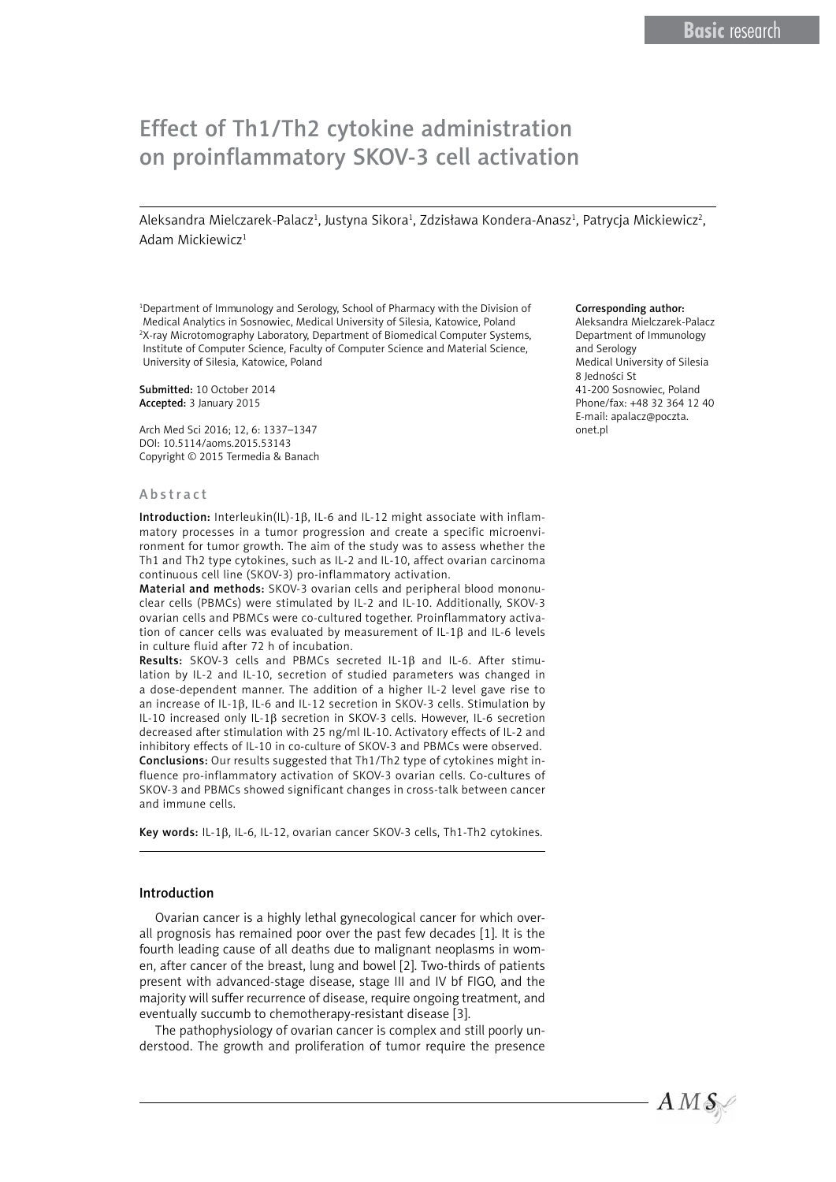# Effect of Th1/Th2 cytokine administration on proinflammatory SKOV-3 cell activation

Aleksandra Mielczarek-Palacz<sup>ı</sup>, Justyna Sikora<sup>ı</sup>, Zdzisława Kondera-Anasz<sup>ı</sup>, Patrycja Mickiewicz<sup>2</sup>, Adam Mickiewicz<sup>1</sup>

<sup>1</sup>Department of Immunology and Serology, School of Pharmacy with the Division of Medical Analytics in Sosnowiec, Medical University of Silesia, Katowice, Poland 2 X-ray Microtomography Laboratory, Department of Biomedical Computer Systems, Institute of Computer Science, Faculty of Computer Science and Material Science, University of Silesia, Katowice, Poland

Submitted: 10 October 2014 Accepted: 3 January 2015

Arch Med Sci 2016; 12, 6: 1337–1347 DOI: 10.5114/aoms.2015.53143 Copyright © 2015 Termedia & Banach

#### Abstract

Introduction: Interleukin(IL)-1 $\beta$ , IL-6 and IL-12 might associate with inflammatory processes in a tumor progression and create a specific microenvironment for tumor growth. The aim of the study was to assess whether the Th1 and Th2 type cytokines, such as IL-2 and IL-10, affect ovarian carcinoma continuous cell line (SKOV-3) pro-inflammatory activation.

Material and methods: SKOV-3 ovarian cells and peripheral blood mononuclear cells (PBMCs) were stimulated by IL-2 and IL-10. Additionally, SKOV-3 ovarian cells and PBMCs were co-cultured together. Proinflammatory activation of cancer cells was evaluated by measurement of IL-1 $\beta$  and IL-6 levels in culture fluid after 72 h of incubation.

Results: SKOV-3 cells and PBMCs secreted IL-1 $\beta$  and IL-6. After stimulation by IL-2 and IL-10, secretion of studied parameters was changed in a dose-dependent manner. The addition of a higher IL-2 level gave rise to an increase of IL-1 $\beta$ , IL-6 and IL-12 secretion in SKOV-3 cells. Stimulation by IL-10 increased only IL-1b secretion in SKOV-3 cells. However, IL-6 secretion decreased after stimulation with 25 ng/ml IL-10. Activatory effects of IL-2 and inhibitory effects of IL-10 in co-culture of SKOV-3 and PBMCs were observed. Conclusions: Our results suggested that Th1/Th2 type of cytokines might influence pro-inflammatory activation of SKOV-3 ovarian cells. Co-cultures of SKOV-3 and PBMCs showed significant changes in cross-talk between cancer and immune cells.

Key words: IL-1 $\beta$ , IL-6, IL-12, ovarian cancer SKOV-3 cells, Th1-Th2 cytokines.

# Introduction

Ovarian cancer is a highly lethal gynecological cancer for which overall prognosis has remained poor over the past few decades [1]. It is the fourth leading cause of all deaths due to malignant neoplasms in women, after cancer of the breast, lung and bowel [2]. Two-thirds of patients present with advanced-stage disease, stage III and IV bf FIGO, and the majority will suffer recurrence of disease, require ongoing treatment, and eventually succumb to chemotherapy-resistant disease [3].

The pathophysiology of ovarian cancer is complex and still poorly understood. The growth and proliferation of tumor require the presence

#### Corresponding author:

Aleksandra Mielczarek-Palacz Department of Immunology and Serology Medical University of Silesia 8 Jedności St 41-200 Sosnowiec, Poland Phone/fax: +48 32 364 12 40 E-mail: [apalacz@poczta.](mailto:apalacz@poczta.onet.pl) [onet.pl](mailto:apalacz@poczta.onet.pl)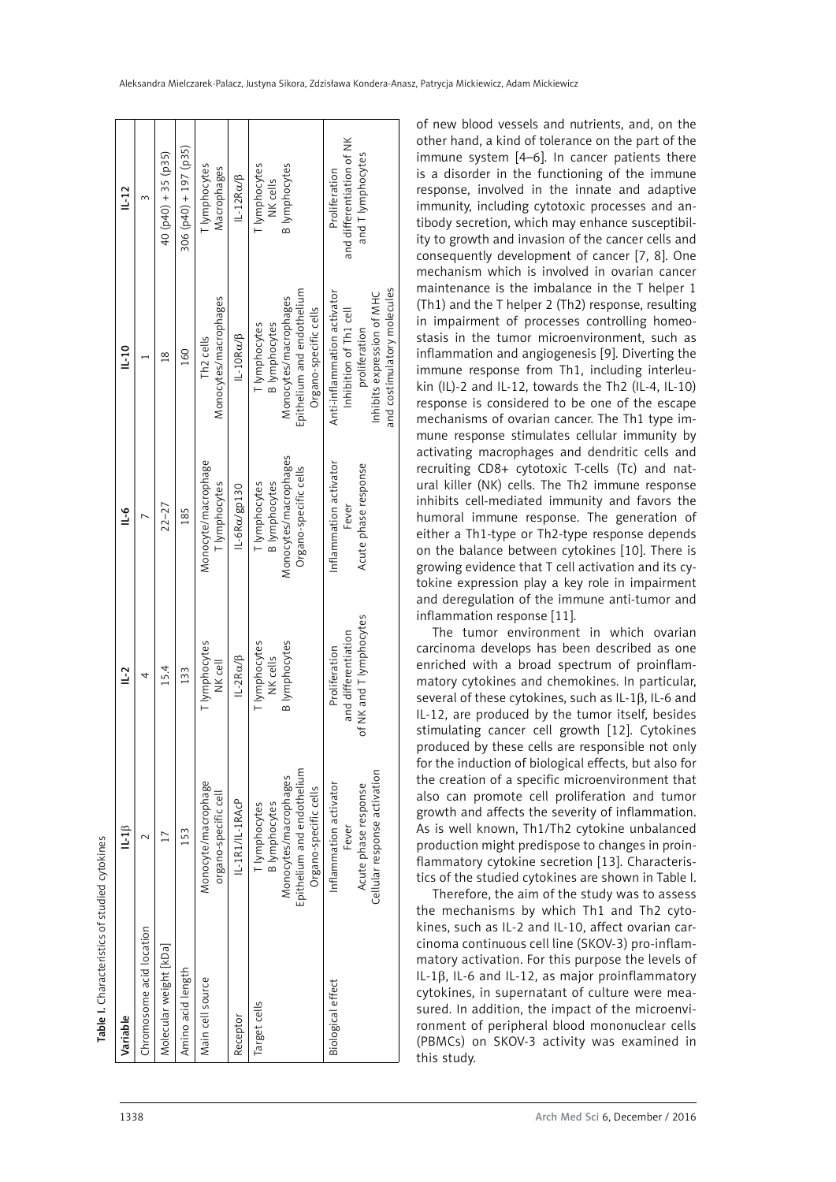| Table I. Characteristics of studied cytokines |                                                                                                                       |                                                                 |                                                                                         |                                                                                                                                     |                                                                 |
|-----------------------------------------------|-----------------------------------------------------------------------------------------------------------------------|-----------------------------------------------------------------|-----------------------------------------------------------------------------------------|-------------------------------------------------------------------------------------------------------------------------------------|-----------------------------------------------------------------|
| Variable                                      | $L-1\beta$                                                                                                            | $\overline{=}$                                                  | $\frac{6}{1}$                                                                           | 10                                                                                                                                  | $L-12$                                                          |
| hromosome acid location                       |                                                                                                                       | 4                                                               |                                                                                         |                                                                                                                                     | $\sim$                                                          |
| Volecular weight [kDa]                        |                                                                                                                       | 15.4                                                            | $22 - 27$                                                                               | $\frac{8}{18}$                                                                                                                      | $40$ (p40) + 35 (p35)                                           |
| Amino acid length                             | 153                                                                                                                   | 133                                                             | 185                                                                                     | 160                                                                                                                                 | 306 (p40) + 197 (p35)                                           |
| Main cell source                              | Monocyte/macrophage<br>organo-specific cell                                                                           | <b>T</b> lymphocytes<br>NK cell                                 | Monocyte/macrophage<br>T lymphocytes                                                    | Monocytes/macrophages<br>Th <sub>2</sub> cells                                                                                      | <b>T</b> lymphocytes<br>Macrophages                             |
| Receptor                                      | IL-1R1/IL-1RACP                                                                                                       | $IL-2R\alpha/\beta$                                             | IL-6Ra/gp130                                                                            | IL-10Ra/B                                                                                                                           | $IL-12R\alpha/\beta$                                            |
| arget cells                                   | Epithelium and endothelium<br>Monocytes/macrophages<br>Organo-specific cells<br><b>B</b> lymphocytes<br>T lymphocytes | [ lymphocytes<br><b>B</b> lymphocytes<br>NK cells               | Monocytes/macrophages<br>Organo-specific cells<br><b>B</b> lymphocytes<br>T lymphocytes | Epithelium and endothelium<br>Monocytes/macrophages<br>Organo-specific cells<br><b>B</b> lymphocytes<br>T lymphocytes               | <b>B</b> lymphocytes<br>lymphocytes<br>NK cells                 |
| Biological effect                             | Cellular response activation<br>Inflammation activator<br>Acute phase response<br>Fever                               | of NK and T lymphocytes<br>and differentiation<br>Proliferation | Inflammation activator<br>Acute phase response<br>Fever                                 | and costimulatory molecules<br>Anti-inflammation activator<br>Inhibits expression of MHC<br>Inhibition of Th1 cell<br>proliferation | and differentiation of NK<br>and T lymphocytes<br>Proliferation |

of new blood vessels and nutrients, and, on the other hand, a kind of tolerance on the part of the immune system [4–6]. In cancer patients there is a disorder in the functioning of the immune response, involved in the innate and adaptive immunity, including cytotoxic processes and antibody secretion, which may enhance susceptibility to growth and invasion of the cancer cells and consequently development of cancer [7, 8]. One mechanism which is involved in ovarian cancer maintenance is the imbalance in the T helper 1 (Th1) and the T helper 2 (Th2) response, resulting in impairment of processes controlling homeostasis in the tumor microenvironment, such as inflammation and angiogenesis [9]. Diverting the immune response from Th1, including interleukin (IL)-2 and IL-12, towards the Th2 (IL-4, IL-10) response is considered to be one of the escape mechanisms of ovarian cancer. The Th1 type immune response stimulates cellular immunity by activating macrophages and dendritic cells and recruiting CD8+ cytotoxic T-cells (Tc) and natural killer (NK) cells. The Th2 immune response inhibits cell-mediated immunity and favors the humoral immune response. The generation of either a Th1-type or Th2-type response depends on the balance between cytokines [10]. There is growing evidence that T cell activation and its cytokine expression play a key role in impairment and deregulation of the immune anti-tumor and inflammation response [11].

The tumor environment in which ovarian carcinoma develops has been described as one enriched with a broad spectrum of proinflammatory cytokines and chemokines. In particular, several of these cytokines, such as IL-1 $\beta$ , IL-6 and IL-12, are produced by the tumor itself, besides stimulating cancer cell growth [12]. Cytokines produced by these cells are responsible not only for the induction of biological effects, but also for the creation of a specific microenvironment that also can promote cell proliferation and tumor growth and affects the severity of inflammation. As is well known, Th1/Th2 cytokine unbalanced production might predispose to changes in proinflammatory cytokine secretion [13]. Characteristics of the studied cytokines are shown in Table I.

Therefore, the aim of the study was to assess the mechanisms by which Th1 and Th2 cytokines, such as IL-2 and IL-10, affect ovarian carcinoma continuous cell line (SKOV-3) pro-inflammatory activation. For this purpose the levels of IL-1b, IL-6 and IL-12, as major proinflammatory cytokines, in supernatant of culture were measured. In addition, the impact of the microenvironment of peripheral blood mononuclear cells (PBMCs) on SKOV-3 activity was examined in this study.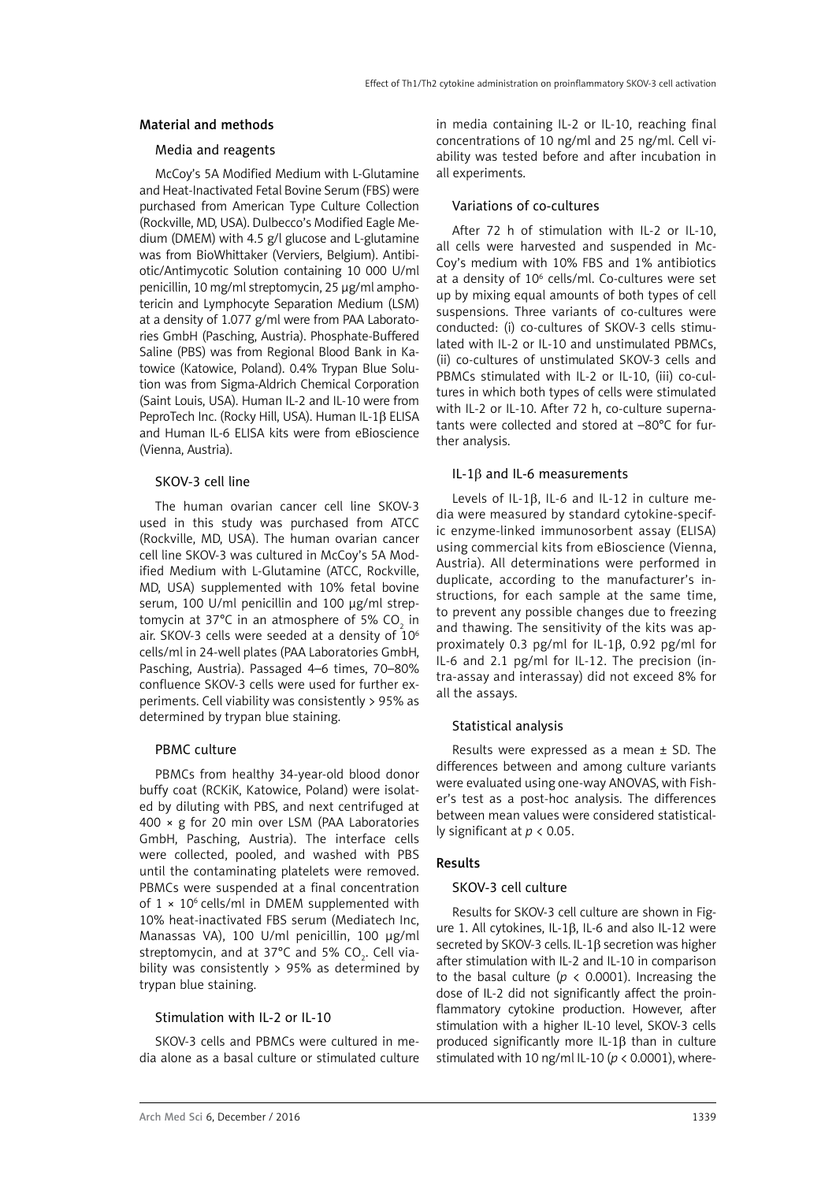#### Material and methods

# Media and reagents

McCoy's 5A Modified Medium with L-Glutamine and Heat-Inactivated Fetal Bovine Serum (FBS) were purchased from American Type Culture Collection (Rockville, MD, USA). Dulbecco's Modified Eagle Medium (DMEM) with 4.5 g/l glucose and L-glutamine was from BioWhittaker (Verviers, Belgium). Antibiotic/Antimycotic Solution containing 10 000 U/ml penicillin, 10 mg/ml streptomycin, 25 μg/ml amphotericin and Lymphocyte Separation Medium (LSM) at a density of 1.077 g/ml were from PAA Laboratories GmbH (Pasching, Austria). Phosphate-Buffered Saline (PBS) was from Regional Blood Bank in Katowice (Katowice, Poland). 0.4% Trypan Blue Solution was from Sigma-Aldrich Chemical Corporation (Saint Louis, USA). Human IL-2 and IL-10 were from PeproTech Inc. (Rocky Hill, USA). Human IL-1B ELISA and Human IL-6 ELISA kits were from eBioscience (Vienna, Austria).

# SKOV-3 cell line

The human ovarian cancer cell line SKOV-3 used in this study was purchased from ATCC (Rockville, MD, USA). The human ovarian cancer cell line SKOV-3 was cultured in McCoy's 5A Modified Medium with L-Glutamine (ATCC, Rockville, MD, USA) supplemented with 10% fetal bovine serum, 100 U/ml penicillin and 100 μg/ml streptomycin at 37°C in an atmosphere of 5% CO $_{_2}$  in air. SKOV-3 cells were seeded at a density of 106 cells/ml in 24-well plates (PAA Laboratories GmbH, Pasching, Austria). Passaged 4–6 times, 70–80% confluence SKOV-3 cells were used for further experiments. Cell viability was consistently > 95% as determined by trypan blue staining.

# PBMC culture

PBMCs from healthy 34-year-old blood donor buffy coat (RCKiK, Katowice, Poland) were isolated by diluting with PBS, and next centrifuged at 400 × g for 20 min over LSM (PAA Laboratories GmbH, Pasching, Austria). The interface cells were collected, pooled, and washed with PBS until the contaminating platelets were removed. PBMCs were suspended at a final concentration of  $1 \times 10^6$  cells/ml in DMEM supplemented with 10% heat-inactivated FBS serum (Mediatech Inc, Manassas VA), 100 U/ml penicillin, 100 μg/ml streptomycin, and at 37°C and 5% CO<sub>2</sub>. Cell viability was consistently > 95% as determined by trypan blue staining.

#### Stimulation with IL-2 or IL-10

SKOV-3 cells and PBMCs were cultured in media alone as a basal culture or stimulated culture in media containing IL-2 or IL-10, reaching final concentrations of 10 ng/ml and 25 ng/ml. Cell viability was tested before and after incubation in all experiments.

#### Variations of co-cultures

After 72 h of stimulation with IL-2 or IL-10. all cells were harvested and suspended in Mc-Coy's medium with 10% FBS and 1% antibiotics at a density of 10<sup>6</sup> cells/ml. Co-cultures were set up by mixing equal amounts of both types of cell suspensions. Three variants of co-cultures were conducted: (i) co-cultures of SKOV-3 cells stimulated with IL-2 or IL-10 and unstimulated PBMCs, (ii) co-cultures of unstimulated SKOV-3 cells and PBMCs stimulated with IL-2 or IL-10, (iii) co-cultures in which both types of cells were stimulated with IL-2 or IL-10. After 72 h, co-culture supernatants were collected and stored at –80°C for further analysis.

# IL-1 $\beta$  and IL-6 measurements

Levels of IL-1 $\beta$ , IL-6 and IL-12 in culture media were measured by standard cytokine-specific enzyme-linked immunosorbent assay (ELISA) using commercial kits from eBioscience (Vienna, Austria). All determinations were performed in duplicate, according to the manufacturer's instructions, for each sample at the same time, to prevent any possible changes due to freezing and thawing. The sensitivity of the kits was approximately 0.3 pg/ml for IL-1 $\beta$ , 0.92 pg/ml for IL-6 and 2.1 pg/ml for IL-12. The precision (intra-assay and interassay) did not exceed 8% for all the assays.

# Statistical analysis

Results were expressed as a mean ± SD. The differences between and among culture variants were evaluated using one-way ANOVAS, with Fisher's test as a post-hoc analysis. The differences between mean values were considered statistically significant at *p* < 0.05.

# Results

# SKOV-3 cell culture

Results for SKOV-3 cell culture are shown in Figure 1. All cytokines, IL-1 $\beta$ , IL-6 and also IL-12 were secreted by SKOV-3 cells. IL-1 $\beta$  secretion was higher after stimulation with IL-2 and IL-10 in comparison to the basal culture (*p* < 0.0001). Increasing the dose of IL-2 did not significantly affect the proinflammatory cytokine production. However, after stimulation with a higher IL-10 level, SKOV-3 cells produced significantly more IL-1 $\beta$  than in culture stimulated with 10 ng/ml IL-10 (*p* < 0.0001), where-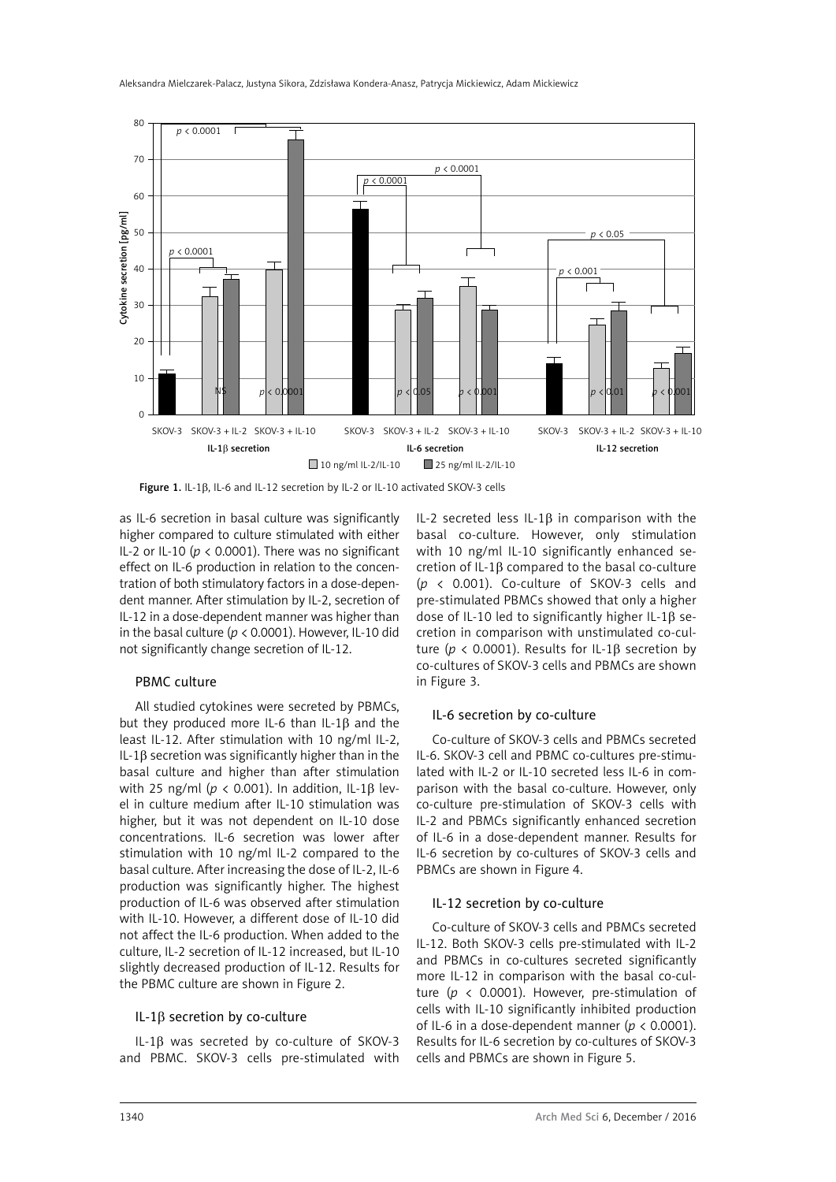



as IL-6 secretion in basal culture was significantly higher compared to culture stimulated with either IL-2 or IL-10 ( $p < 0.0001$ ). There was no significant effect on IL-6 production in relation to the concentration of both stimulatory factors in a dose-dependent manner. After stimulation by IL-2, secretion of IL-12 in a dose-dependent manner was higher than in the basal culture (*p* < 0.0001). However, IL-10 did not significantly change secretion of IL-12.

#### PBMC culture

All studied cytokines were secreted by PBMCs, but they produced more IL-6 than IL-1 $\beta$  and the least IL-12. After stimulation with 10 ng/ml IL-2, IL-1 $\beta$  secretion was significantly higher than in the basal culture and higher than after stimulation with 25 ng/ml ( $p < 0.001$ ). In addition, IL-1 $\beta$  level in culture medium after IL-10 stimulation was higher, but it was not dependent on IL-10 dose concentrations. IL-6 secretion was lower after stimulation with 10 ng/ml IL-2 compared to the basal culture. After increasing the dose of IL-2, IL-6 production was significantly higher. The highest production of IL-6 was observed after stimulation with IL-10. However, a different dose of IL-10 did not affect the IL-6 production. When added to the culture, IL-2 secretion of IL-12 increased, but IL-10 slightly decreased production of IL-12. Results for the PBMC culture are shown in Figure 2.

#### IL-1 $\beta$  secretion by co-culture

IL-1b was secreted by co-culture of SKOV-3 and PBMC. SKOV-3 cells pre-stimulated with IL-2 secreted less IL-1 $\beta$  in comparison with the basal co-culture. However, only stimulation with 10 ng/ml IL-10 significantly enhanced secretion of IL-1b compared to the basal co-culture (*p* < 0.001). Co-culture of SKOV-3 cells and pre-stimulated PBMCs showed that only a higher dose of IL-10 led to significantly higher IL-1 $\beta$  secretion in comparison with unstimulated co-culture ( $p < 0.0001$ ). Results for IL-1 $\beta$  secretion by co-cultures of SKOV-3 cells and PBMCs are shown in Figure 3.

#### IL-6 secretion by co-culture

Co-culture of SKOV-3 cells and PBMCs secreted IL-6. SKOV-3 cell and PBMC co-cultures pre-stimulated with IL-2 or IL-10 secreted less IL-6 in comparison with the basal co-culture. However, only co-culture pre-stimulation of SKOV-3 cells with IL-2 and PBMCs significantly enhanced secretion of IL-6 in a dose-dependent manner. Results for IL-6 secretion by co-cultures of SKOV-3 cells and PBMCs are shown in Figure 4.

# IL-12 secretion by co-culture

Co-culture of SKOV-3 cells and PBMCs secreted IL-12. Both SKOV-3 cells pre-stimulated with IL-2 and PBMCs in co-cultures secreted significantly more IL-12 in comparison with the basal co-culture (*p* < 0.0001). However, pre-stimulation of cells with IL-10 significantly inhibited production of IL-6 in a dose-dependent manner ( $p < 0.0001$ ). Results for IL-6 secretion by co-cultures of SKOV-3 cells and PBMCs are shown in Figure 5.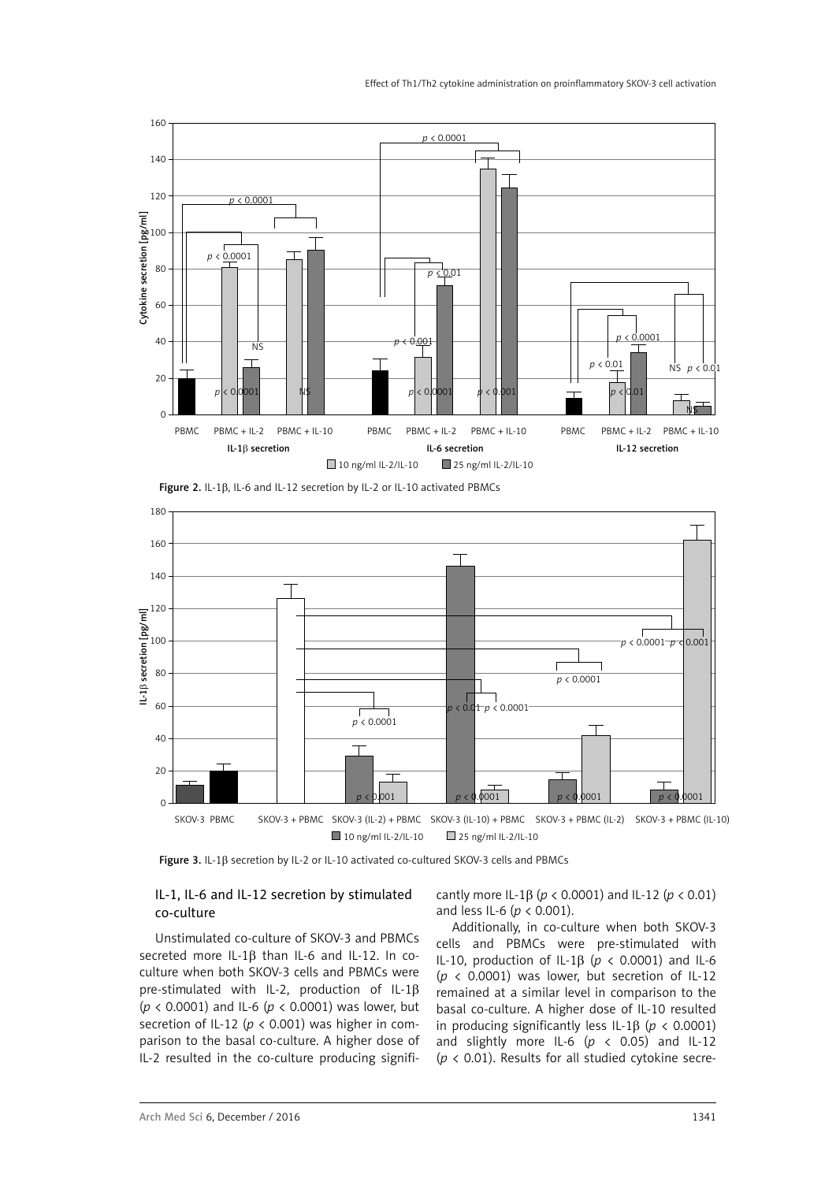

Figure 2. IL-1 $\beta$ , IL-6 and IL-12 secretion by IL-2 or IL-10 activated PBMCs



Figure 3. IL-1b secretion by IL-2 or IL-10 activated co-cultured SKOV-3 cells and PBMCs

# IL-1, IL-6 and IL-12 secretion by stimulated co-culture

cantly more IL-1 $\beta$  ( $p < 0.0001$ ) and IL-12 ( $p < 0.01$ ) and less IL-6 (*p* < 0.001).

Unstimulated co-culture of SKOV-3 and PBMCs secreted more IL-1 $\beta$  than IL-6 and IL-12. In coculture when both SKOV-3 cells and PBMCs were pre-stimulated with IL-2, production of IL-1 $\beta$ (*p* < 0.0001) and IL-6 (*p* < 0.0001) was lower, but secretion of IL-12 ( $p < 0.001$ ) was higher in comparison to the basal co-culture. A higher dose of IL-2 resulted in the co-culture producing signifi-

Additionally, in co-culture when both SKOV-3 cells and PBMCs were pre-stimulated with IL-10, production of IL-1 $\beta$  ( $p < 0.0001$ ) and IL-6 ( $p \le 0.0001$ ) was lower, but secretion of IL-12 remained at a similar level in comparison to the basal co-culture. A higher dose of IL-10 resulted in producing significantly less IL-1 $\beta$  ( $p < 0.0001$ ) and slightly more IL-6  $(p \lt 0.05)$  and IL-12 (*p* < 0.01). Results for all studied cytokine secre-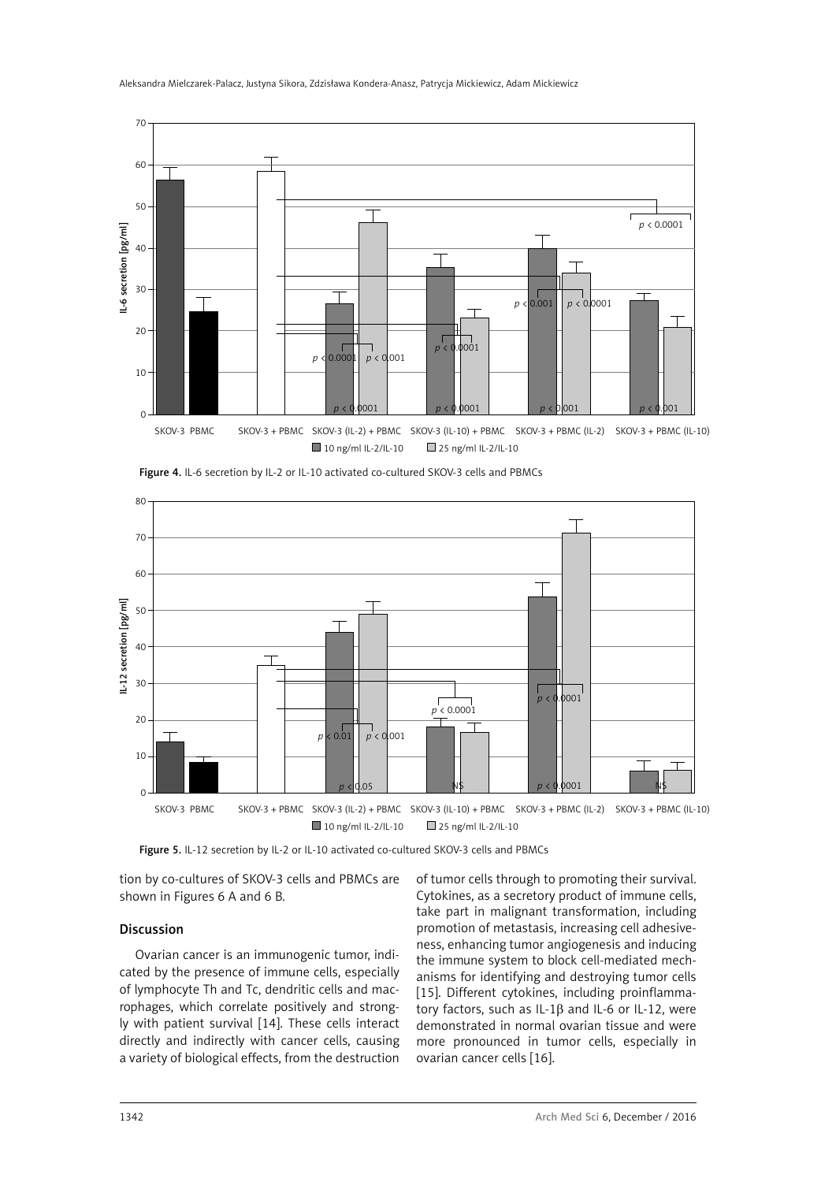



Figure 4. IL-6 secretion by IL-2 or IL-10 activated co-cultured SKOV-3 cells and PBMCs

Figure 5. IL-12 secretion by IL-2 or IL-10 activated co-cultured SKOV-3 cells and PBMCs

tion by co-cultures of SKOV-3 cells and PBMCs are shown in Figures 6 A and 6 B.

# Discussion

Ovarian cancer is an immunogenic tumor, indicated by the presence of immune cells, especially of lymphocyte Th and Tc, dendritic cells and macrophages, which correlate positively and strongly with patient survival [14]. These cells interact directly and indirectly with cancer cells, causing a variety of biological effects, from the destruction of tumor cells through to promoting their survival. Cytokines, as a secretory product of immune cells, take part in malignant transformation, including promotion of metastasis, increasing cell adhesiveness, enhancing tumor angiogenesis and inducing the immune system to block cell-mediated mechanisms for identifying and destroying tumor cells [15]. Different cytokines, including proinflammatory factors, such as IL-1 $\beta$  and IL-6 or IL-12, were demonstrated in normal ovarian tissue and were more pronounced in tumor cells, especially in ovarian cancer cells [16].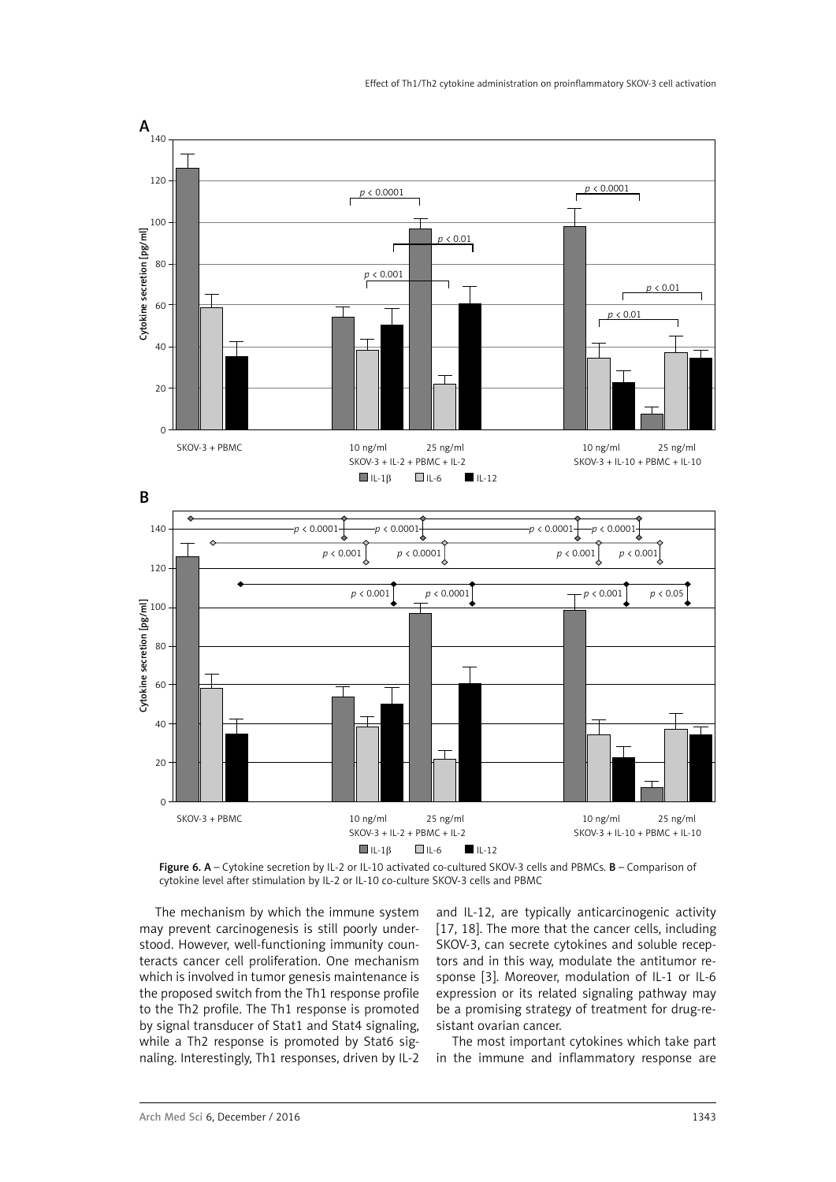

Figure 6. A – Cytokine secretion by IL-2 or IL-10 activated co-cultured SKOV-3 cells and PBMCs. B – Comparison of cytokine level after stimulation by IL-2 or IL-10 co-culture SKOV-3 cells and PBMC

The mechanism by which the immune system may prevent carcinogenesis is still poorly understood. However, well-functioning immunity counteracts cancer cell proliferation. One mechanism which is involved in tumor genesis maintenance is the proposed switch from the Th1 response profile to the Th2 profile. The Th1 response is promoted by signal transducer of Stat1 and Stat4 signaling, while a Th2 response is promoted by Stat6 signaling. Interestingly, Th1 responses, driven by IL-2 and IL-12, are typically anticarcinogenic activity [17, 18]. The more that the cancer cells, including SKOV-3, can secrete cytokines and soluble receptors and in this way, modulate the antitumor response [3]. Moreover, modulation of IL-1 or IL-6 expression or its related signaling pathway may be a promising strategy of treatment for drug-resistant ovarian cancer.

The most important cytokines which take part in the immune and inflammatory response are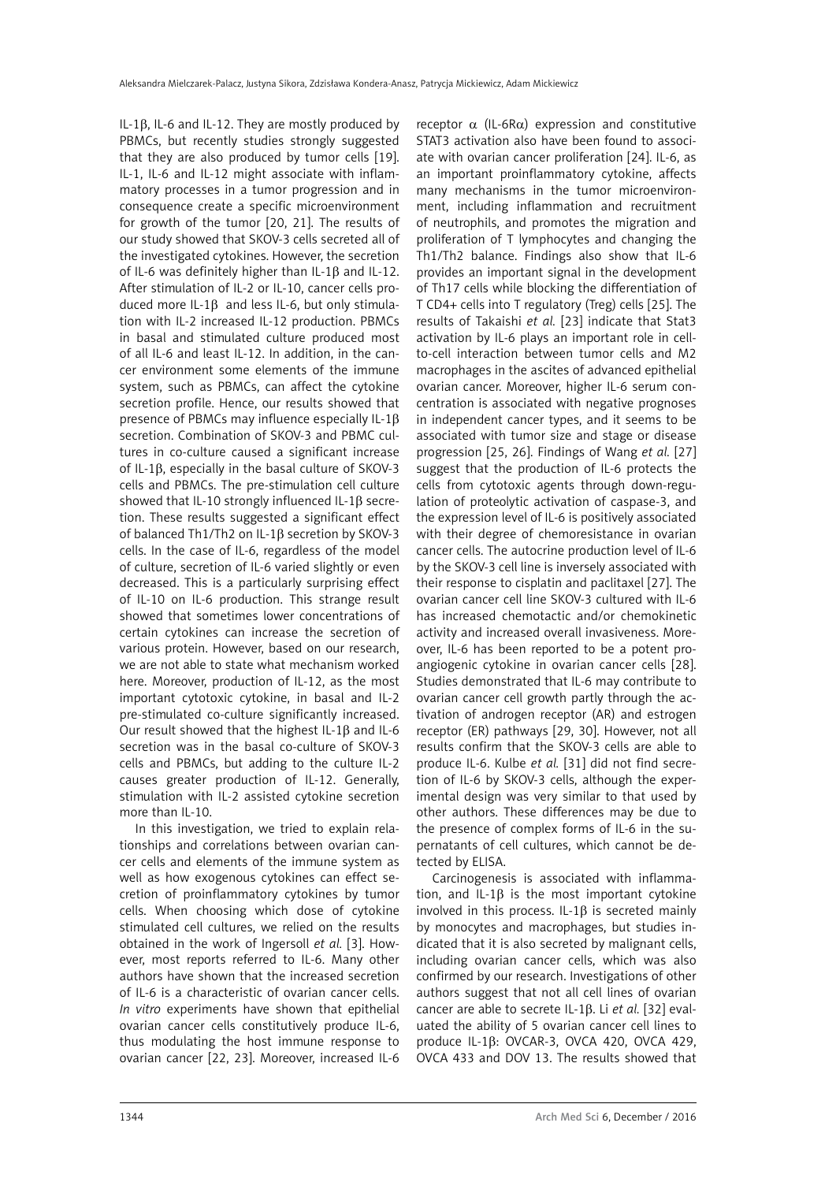IL-1 $\beta$ , IL-6 and IL-12. They are mostly produced by PBMCs, but recently studies strongly suggested that they are also produced by tumor cells [19]. IL-1, IL-6 and IL-12 might associate with inflammatory processes in a tumor progression and in consequence create a specific microenvironment for growth of the tumor [20, 21]. The results of our study showed that SKOV-3 cells secreted all of the investigated cytokines. However, the secretion of IL-6 was definitely higher than IL-1 $\beta$  and IL-12. After stimulation of IL-2 or IL-10, cancer cells produced more IL-1B and less IL-6, but only stimulation with IL-2 increased IL-12 production. PBMCs in basal and stimulated culture produced most of all IL-6 and least IL-12. In addition, in the cancer environment some elements of the immune system, such as PBMCs, can affect the cytokine secretion profile. Hence, our results showed that presence of PBMCs may influence especially IL-1 $\beta$ secretion. Combination of SKOV-3 and PBMC cultures in co-culture caused a significant increase of IL-1 $\beta$ , especially in the basal culture of SKOV-3 cells and PBMCs. The pre-stimulation cell culture showed that IL-10 strongly influenced IL-1b secretion. These results suggested a significant effect of balanced Th1/Th2 on IL-1ß secretion by SKOV-3 cells. In the case of IL-6, regardless of the model of culture, secretion of IL-6 varied slightly or even decreased. This is a particularly surprising effect of IL-10 on IL-6 production. This strange result showed that sometimes lower concentrations of certain cytokines can increase the secretion of various protein. However, based on our research, we are not able to state what mechanism worked here. Moreover, production of IL-12, as the most important cytotoxic cytokine, in basal and IL-2 pre-stimulated co-culture significantly increased. Our result showed that the highest IL-1 $\beta$  and IL-6 secretion was in the basal co-culture of SKOV-3 cells and PBMCs, but adding to the culture IL-2 causes greater production of IL-12. Generally, stimulation with IL-2 assisted cytokine secretion more than IL-10.

In this investigation, we tried to explain relationships and correlations between ovarian cancer cells and elements of the immune system as well as how exogenous cytokines can effect secretion of proinflammatory cytokines by tumor cells. When choosing which dose of cytokine stimulated cell cultures, we relied on the results obtained in the work of Ingersoll *et al.* [3]. However, most reports referred to IL-6. Many other authors have shown that the increased secretion of IL-6 is a characteristic of ovarian cancer cells. *In vitro* experiments have shown that epithelial ovarian cancer cells constitutively produce IL-6, thus modulating the host immune response to ovarian cancer [22, 23]. Moreover, increased IL-6 receptor  $\alpha$  (IL-6R $\alpha$ ) expression and constitutive STAT3 activation also have been found to associate with ovarian cancer proliferation [24]. IL-6, as an important proinflammatory cytokine, affects many mechanisms in the tumor microenvironment, including inflammation and recruitment of neutrophils, and promotes the migration and proliferation of T lymphocytes and changing the Th1/Th2 balance. Findings also show that IL-6 provides an important signal in the development of Th17 cells while blocking the differentiation of T CD4+ cells into T regulatory (Treg) cells [25]. The results of Takaishi *et al.* [23] indicate that Stat3 activation by IL-6 plays an important role in cellto-cell interaction between tumor cells and M2 macrophages in the ascites of advanced epithelial ovarian cancer. Moreover, higher IL-6 serum concentration is associated with negative prognoses in independent cancer types, and it seems to be associated with tumor size and stage or disease progression [25, 26]. Findings of Wang *et al.* [27] suggest that the production of IL-6 protects the cells from cytotoxic agents through down-regulation of proteolytic activation of caspase-3, and the expression level of IL-6 is positively associated with their degree of chemoresistance in ovarian cancer cells. The autocrine production level of IL-6 by the SKOV-3 cell line is inversely associated with their response to cisplatin and paclitaxel [27]. The ovarian cancer cell line SKOV-3 cultured with IL-6 has increased chemotactic and/or chemokinetic activity and increased overall invasiveness. Moreover, IL-6 has been reported to be a potent proangiogenic cytokine in ovarian cancer cells [28]. Studies demonstrated that IL-6 may contribute to ovarian cancer cell growth partly through the activation of androgen receptor (AR) and estrogen receptor (ER) pathways [29, 30]. However, not all results confirm that the SKOV-3 cells are able to produce IL-6. Kulbe *et al.* [31] did not find secretion of IL-6 by SKOV-3 cells, although the experimental design was very similar to that used by other authors. These differences may be due to the presence of complex forms of IL-6 in the supernatants of cell cultures, which cannot be detected by ELISA.

Carcinogenesis is associated with inflammation, and IL-1 $\beta$  is the most important cytokine involved in this process. IL-1 $\beta$  is secreted mainly by monocytes and macrophages, but studies indicated that it is also secreted by malignant cells, including ovarian cancer cells, which was also confirmed by our research. Investigations of other authors suggest that not all cell lines of ovarian cancer are able to secrete IL-1b. Li *et al.* [32] evaluated the ability of 5 ovarian cancer cell lines to produce IL-1 $\beta$ : OVCAR-3, OVCA 420, OVCA 429, OVCA 433 and DOV 13. The results showed that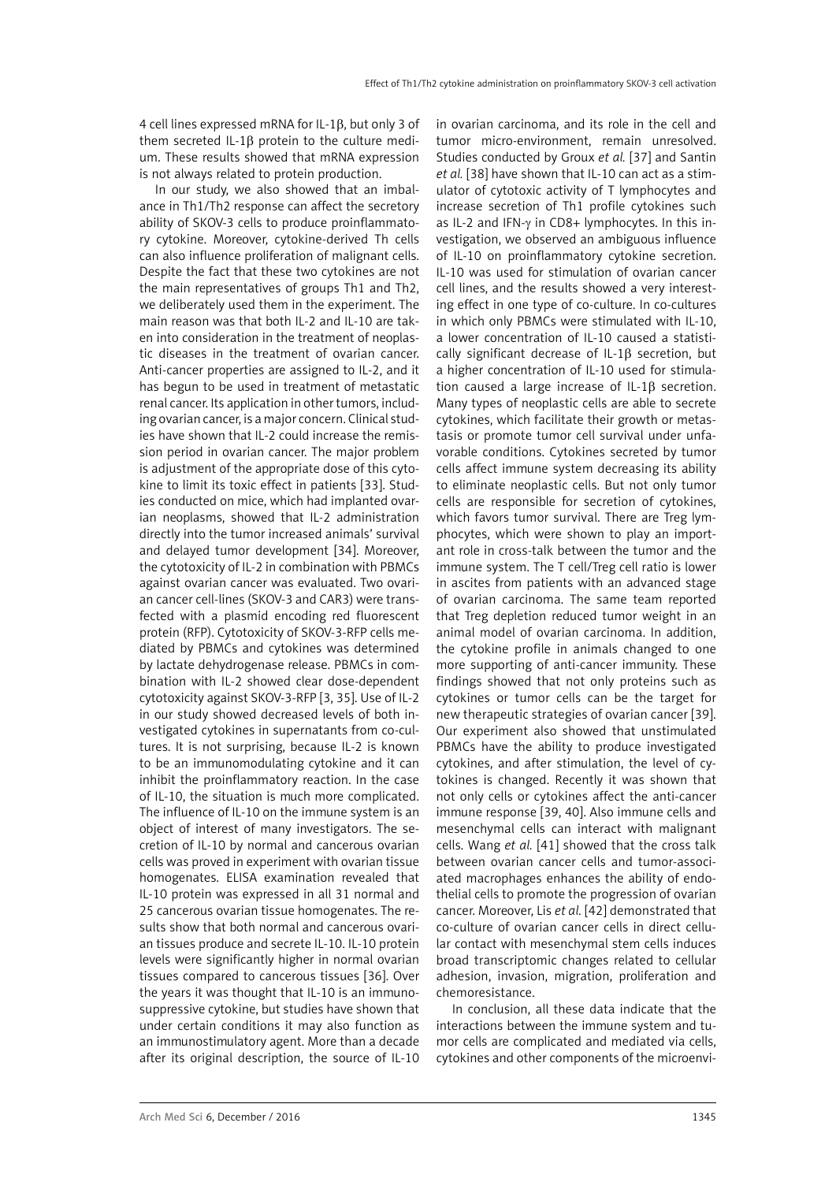4 cell lines expressed mRNA for IL-1 $\beta$ , but only 3 of them secreted IL-1 $\beta$  protein to the culture medium. These results showed that mRNA expression is not always related to protein production.

In our study, we also showed that an imbalance in Th1/Th2 response can affect the secretory ability of SKOV-3 cells to produce proinflammatory cytokine. Moreover, cytokine-derived Th cells can also influence proliferation of malignant cells. Despite the fact that these two cytokines are not the main representatives of groups Th1 and Th2, we deliberately used them in the experiment. The main reason was that both IL-2 and IL-10 are taken into consideration in the treatment of neoplastic diseases in the treatment of ovarian cancer. Anti-cancer properties are assigned to IL-2, and it has begun to be used in treatment of metastatic renal cancer. Its application in other tumors, including ovarian cancer, is a major concern. Clinical studies have shown that IL-2 could increase the remission period in ovarian cancer. The major problem is adjustment of the appropriate dose of this cytokine to limit its toxic effect in patients [33]. Studies conducted on mice, which had implanted ovarian neoplasms, showed that IL-2 administration directly into the tumor increased animals' survival and delayed tumor development [34]. Moreover, the cytotoxicity of IL-2 in combination with PBMCs against ovarian cancer was evaluated. Two ovarian cancer cell-lines (SKOV-3 and CAR3) were transfected with a plasmid encoding red fluorescent protein (RFP). Cytotoxicity of SKOV-3-RFP cells mediated by PBMCs and cytokines was determined by lactate dehydrogenase release. PBMCs in combination with IL-2 showed clear dose-dependent cytotoxicity against SKOV-3-RFP [3, 35]. Use of IL-2 in our study showed decreased levels of both investigated cytokines in supernatants from co-cultures. It is not surprising, because IL-2 is known to be an immunomodulating cytokine and it can inhibit the proinflammatory reaction. In the case of IL-10, the situation is much more complicated. The influence of IL-10 on the immune system is an object of interest of many investigators. The secretion of IL-10 by normal and cancerous ovarian cells was proved in experiment with ovarian tissue homogenates. ELISA examination revealed that IL-10 protein was expressed in all 31 normal and 25 cancerous ovarian tissue homogenates. The results show that both normal and cancerous ovarian tissues produce and secrete IL-10. IL-10 protein levels were significantly higher in normal ovarian tissues compared to cancerous tissues [36]. Over the years it was thought that IL-10 is an immunosuppressive cytokine, but studies have shown that under certain conditions it may also function as an immunostimulatory agent. More than a decade after its original description, the source of IL-10 in ovarian carcinoma, and its role in the cell and tumor micro-environment, remain unresolved. Studies conducted by Groux *et al.* [37] and Santin *et al.* [38] have shown that IL-10 can act as a stimulator of cytotoxic activity of T lymphocytes and increase secretion of Th1 profile cytokines such as IL-2 and IFN-γ in CD8+ lymphocytes. In this investigation, we observed an ambiguous influence of IL-10 on proinflammatory cytokine secretion. IL-10 was used for stimulation of ovarian cancer cell lines, and the results showed a very interesting effect in one type of co-culture. In co-cultures in which only PBMCs were stimulated with IL-10, a lower concentration of IL-10 caused a statistically significant decrease of IL-1 $\beta$  secretion, but a higher concentration of IL-10 used for stimulation caused a large increase of  $IL-1\beta$  secretion. Many types of neoplastic cells are able to secrete cytokines, which facilitate their growth or metastasis or promote tumor cell survival under unfavorable conditions. Cytokines secreted by tumor cells affect immune system decreasing its ability to eliminate neoplastic cells. But not only tumor cells are responsible for secretion of cytokines, which favors tumor survival. There are Treg lymphocytes, which were shown to play an important role in cross-talk between the tumor and the immune system. The T cell/Treg cell ratio is lower in ascites from patients with an advanced stage of ovarian carcinoma. The same team reported that Treg depletion reduced tumor weight in an animal model of ovarian carcinoma. In addition, the cytokine profile in animals changed to one more supporting of anti-cancer immunity. These findings showed that not only proteins such as cytokines or tumor cells can be the target for new therapeutic strategies of ovarian cancer [39]. Our experiment also showed that unstimulated PBMCs have the ability to produce investigated cytokines, and after stimulation, the level of cytokines is changed. Recently it was shown that not only cells or cytokines affect the anti-cancer immune response [39, 40]. Also immune cells and mesenchymal cells can interact with malignant cells. Wang *et al.* [41] showed that the cross talk between ovarian cancer cells and tumor-associated macrophages enhances the ability of endothelial cells to promote the progression of ovarian cancer. Moreover, Lis *et al.* [42] demonstrated that co-culture of ovarian cancer cells in direct cellular contact with mesenchymal stem cells induces broad transcriptomic changes related to cellular adhesion, invasion, migration, proliferation and chemoresistance.

In conclusion, all these data indicate that the interactions between the immune system and tumor cells are complicated and mediated via cells, cytokines and other components of the microenvi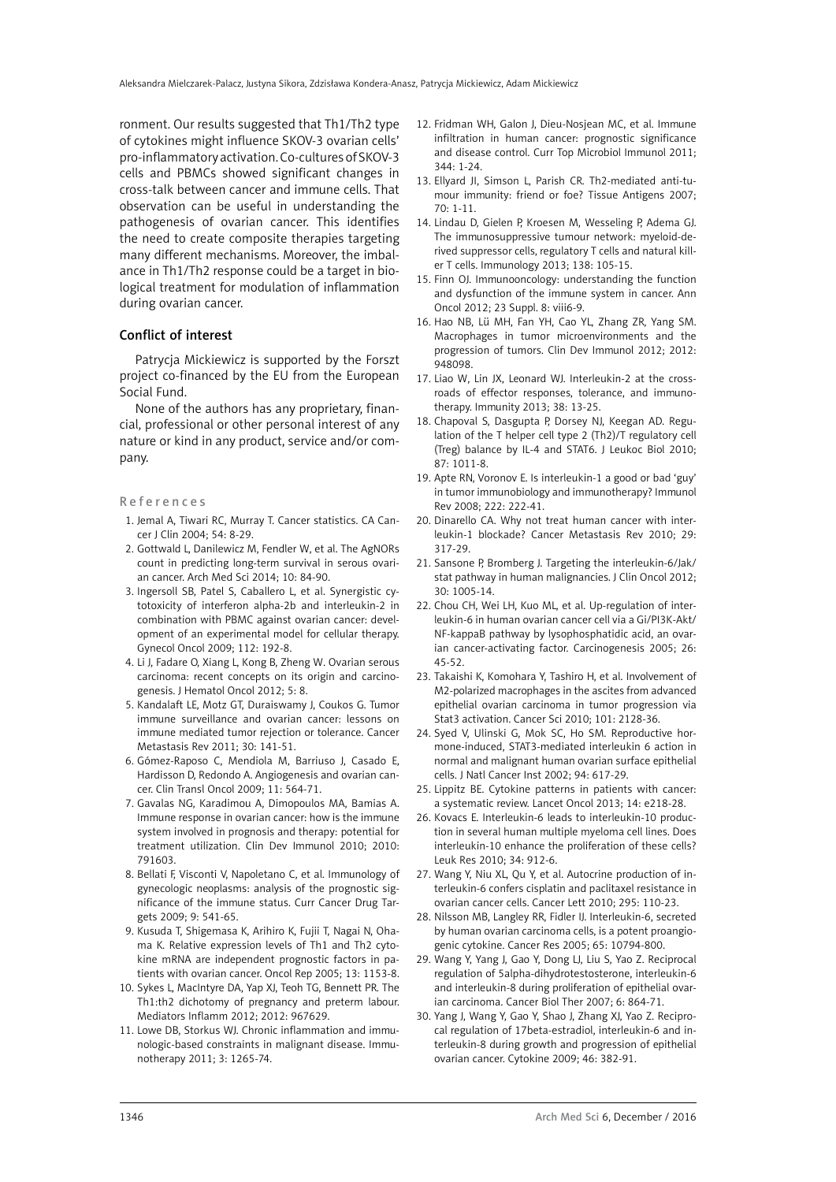ronment. Our results suggested that Th1/Th2 type of cytokines might influence SKOV-3 ovarian cells' pro-inflammatory activation. Co-cultures of SKOV-3 cells and PBMCs showed significant changes in cross-talk between cancer and immune cells. That observation can be useful in understanding the pathogenesis of ovarian cancer. This identifies the need to create composite therapies targeting many different mechanisms. Moreover, the imbalance in Th1/Th2 response could be a target in biological treatment for modulation of inflammation during ovarian cancer.

#### Conflict of interest

Patrycja Mickiewicz is supported by the Forszt project co-financed by the EU from the European Social Fund.

None of the authors has any proprietary, financial, professional or other personal interest of any nature or kind in any product, service and/or company.

#### References

- 1. [Jemal A,](http://informahealthcare.com/action/doSearch?action=runSearch&type=advanced&result=true&prevSearch=%2Bauthorsfield%3A%28Jemal%2C+A%29) [Tiwari RC,](http://informahealthcare.com/action/doSearch?action=runSearch&type=advanced&result=true&prevSearch=%2Bauthorsfield%3A%28Tiwari%2C+RC%29) [Murray T.](http://informahealthcare.com/action/doSearch?action=runSearch&type=advanced&result=true&prevSearch=%2Bauthorsfield%3A%28Murray%2C+T%29) Cancer statistics. CA Cancer J Clin 2004; 54: 8-29.
- 2. [Gottwald L](http://www.ncbi.nlm.nih.gov/pubmed/?term=Gottwald L%5BAuthor%5D&cauthor=true&cauthor_uid=24701219), [Danilewicz M,](http://www.ncbi.nlm.nih.gov/pubmed/?term=Danilewicz M%5BAuthor%5D&cauthor=true&cauthor_uid=24701219) [Fendler W](http://www.ncbi.nlm.nih.gov/pubmed/?term=Fendler W%5BAuthor%5D&cauthor=true&cauthor_uid=24701219), et al. The AgNORs count in predicting long-term survival in serous ovarian cancer. [Arch Med Sci](http://www.ncbi.nlm.nih.gov/pubmed/24701219) 2014; 10: 84-90.
- 3. Ingersoll SB, Patel S, Caballero L, et al. [Synergistic cy](http://www.ncbi.nlm.nih.gov/pubmed/18995891)[totoxicity of interferon alpha-2b and interleukin-2 in](http://www.ncbi.nlm.nih.gov/pubmed/18995891)  [combination with PBMC against ovarian cancer: devel](http://www.ncbi.nlm.nih.gov/pubmed/18995891)[opment of an experimental model for cellular therapy.](http://www.ncbi.nlm.nih.gov/pubmed/18995891)  Gynecol Oncol 2009; 112: 192-8.
- 4. [Li J](http://www.ncbi.nlm.nih.gov/pubmed?term=Li J%5BAuthor%5D&cauthor=true&cauthor_uid=23162945), [Fadare O](http://www.ncbi.nlm.nih.gov/pubmed?term=Fadare O%5BAuthor%5D&cauthor=true&cauthor_uid=23162945), [Xiang L,](http://www.ncbi.nlm.nih.gov/pubmed?term=Xiang L%5BAuthor%5D&cauthor=true&cauthor_uid=23162945) [Kong B](http://www.ncbi.nlm.nih.gov/pubmed?term=Kong B%5BAuthor%5D&cauthor=true&cauthor_uid=23162945), [Zheng W](http://www.ncbi.nlm.nih.gov/pubmed?term=Zheng W%5BAuthor%5D&cauthor=true&cauthor_uid=23162945). Ovarian serous carcinoma: recent concepts on its origin and carcinogenesis. [J Hematol Oncol](http://www.ncbi.nlm.nih.gov/pubmed/22405464) 2012; 5: 8.
- 5. [Kandalaft LE](http://www.ncbi.nlm.nih.gov/pubmed?term=Kandalaft LE%5BAuthor%5D&cauthor=true&cauthor_uid=21298574), [Motz GT](http://www.ncbi.nlm.nih.gov/pubmed?term=Motz GT%5BAuthor%5D&cauthor=true&cauthor_uid=21298574), [Duraiswamy J,](http://www.ncbi.nlm.nih.gov/pubmed?term=Duraiswamy J%5BAuthor%5D&cauthor=true&cauthor_uid=21298574) [Coukos G](http://www.ncbi.nlm.nih.gov/pubmed?term=Coukos G%5BAuthor%5D&cauthor=true&cauthor_uid=21298574). Tumor immune surveillance and ovarian cancer: lessons on immune mediated tumor rejection or tolerance. [Cancer](http://www.ncbi.nlm.nih.gov/pubmed/21298574)  [Metastasis Rev](http://www.ncbi.nlm.nih.gov/pubmed/21298574) 2011; 30: 141-51.
- 6. [Gómez-Raposo C,](http://www.ncbi.nlm.nih.gov/pubmed?term=G%C3%B3mez-Raposo C%5BAuthor%5D&cauthor=true&cauthor_uid=23126425) [Mendiola M,](http://www.ncbi.nlm.nih.gov/pubmed?term=Mendiola M%5BAuthor%5D&cauthor=true&cauthor_uid=23126425) [Barriuso J,](http://www.ncbi.nlm.nih.gov/pubmed?term=Barriuso J%5BAuthor%5D&cauthor=true&cauthor_uid=23126425) [Casado E,](http://www.ncbi.nlm.nih.gov/pubmed?term=Casado E%5BAuthor%5D&cauthor=true&cauthor_uid=23126425) [Hardisson D,](http://www.ncbi.nlm.nih.gov/pubmed?term=Hardisson D%5BAuthor%5D&cauthor=true&cauthor_uid=23126425) [Redondo A](http://www.ncbi.nlm.nih.gov/pubmed?term=Redondo A%5BAuthor%5D&cauthor=true&cauthor_uid=23126425). [Angiogenesis and ovarian can](http://www.ncbi.nlm.nih.gov/pubmed/19775995)[cer.](http://www.ncbi.nlm.nih.gov/pubmed/19775995) [Clin Transl Oncol](http://www.ncbi.nlm.nih.gov/pubmed) 2009; 11: 564-71.
- 7. [Gavalas NG](http://www.ncbi.nlm.nih.gov/pubmed?term=Gavalas NG%5BAuthor%5D&cauthor=true&cauthor_uid=21318181), [Karadimou A,](http://www.ncbi.nlm.nih.gov/pubmed?term=Karadimou A%5BAuthor%5D&cauthor=true&cauthor_uid=21318181) [Dimopoulos MA,](http://www.ncbi.nlm.nih.gov/pubmed?term=Dimopoulos MA%5BAuthor%5D&cauthor=true&cauthor_uid=21318181) [Bamias A.](http://www.ncbi.nlm.nih.gov/pubmed?term=Bamias A%5BAuthor%5D&cauthor=true&cauthor_uid=21318181) Immune response in ovarian cancer: how is the immune system involved in prognosis and therapy: potential for treatment utilization. [Clin Dev Immunol](http://www.ncbi.nlm.nih.gov/pubmed/21318181) 2010; 2010: 791603.
- 8. [Bellati F](http://www.ncbi.nlm.nih.gov/pubmed?term=Bellati F%5BAuthor%5D&cauthor=true&cauthor_uid=19519321), [Visconti V,](http://www.ncbi.nlm.nih.gov/pubmed?term=Visconti V%5BAuthor%5D&cauthor=true&cauthor_uid=19519321) [Napoletano C](http://www.ncbi.nlm.nih.gov/pubmed?term=Napoletano C%5BAuthor%5D&cauthor=true&cauthor_uid=19519321), et al. Immunology of gynecologic neoplasms: analysis of the prognostic significance of the immune status. [Curr Cancer Drug Tar](http://www.ncbi.nlm.nih.gov/pubmed/19519321)[gets](http://www.ncbi.nlm.nih.gov/pubmed/19519321) 2009; 9: 541-65.
- 9. Kusuda T, Shigemasa K, Arihiro K, Fujii T, Nagai N, Ohama K. [Relative expression levels of Th1 and Th2 cyto](http://www.ncbi.nlm.nih.gov/pubmed/15870936)[kine mRNA are independent prognostic factors in pa](http://www.ncbi.nlm.nih.gov/pubmed/15870936)[tients with ovarian cancer.](http://www.ncbi.nlm.nih.gov/pubmed/15870936) Oncol Rep 2005; 13: 1153-8.
- 10. Sykes L, MacIntyre DA, Yap XJ, Teoh TG, Bennett PR. [The](http://www.ncbi.nlm.nih.gov/pubmed/22719180)  [Th1:th2 dichotomy of pregnancy and preterm labour.](http://www.ncbi.nlm.nih.gov/pubmed/22719180)  Mediators Inflamm 2012; 2012: 967629.
- 11. [Lowe DB](http://www.ncbi.nlm.nih.gov/pubmed?term=Lowe DB%5BAuthor%5D&cauthor=true&cauthor_uid=21995576), [Storkus WJ](http://www.ncbi.nlm.nih.gov/pubmed?term=Storkus WJ%5BAuthor%5D&cauthor=true&cauthor_uid=21995576). Chronic inflammation and immunologic-based constraints in malignant disease. [Immu](http://www.ncbi.nlm.nih.gov/pubmed/21995576)[notherapy](http://www.ncbi.nlm.nih.gov/pubmed/21995576) 2011; 3: 1265-74.
- 12. [Fridman WH,](http://www.ncbi.nlm.nih.gov/pubmed?term=Fridman WH%5BAuthor%5D&cauthor=true&cauthor_uid=20512556) [Galon J](http://www.ncbi.nlm.nih.gov/pubmed?term=Galon J%5BAuthor%5D&cauthor=true&cauthor_uid=20512556), [Dieu-Nosjean MC](http://www.ncbi.nlm.nih.gov/pubmed?term=Dieu-Nosjean MC%5BAuthor%5D&cauthor=true&cauthor_uid=20512556), et al. Immune infiltration in human cancer: prognostic significance and disease control. [Curr Top Microbiol Immunol](http://www.ncbi.nlm.nih.gov/pubmed/20512556) 2011; 344: 1-24.
- 13. [Ellyard JI,](http://www.ncbi.nlm.nih.gov/pubmed?term=Ellyard JI%5BAuthor%5D&cauthor=true&cauthor_uid=17559575)  [Simson L](http://www.ncbi.nlm.nih.gov/pubmed?term=Simson L%5BAuthor%5D&cauthor=true&cauthor_uid=17559575),  [Parish CR.](http://www.ncbi.nlm.nih.gov/pubmed?term=Parish CR%5BAuthor%5D&cauthor=true&cauthor_uid=17559575) Th2-mediated anti-tumour immunity: friend or foe? [Tissue Antigens](http://www.ncbi.nlm.nih.gov/pubmed/17559575) 2007; 70: 1-11.
- 14. [Lindau D](http://www.ncbi.nlm.nih.gov/pubmed?term=Lindau D%5BAuthor%5D&cauthor=true&cauthor_uid=23401997), [Gielen P](http://www.ncbi.nlm.nih.gov/pubmed?term=Gielen P%5BAuthor%5D&cauthor=true&cauthor_uid=23401997), [Kroesen M,](http://www.ncbi.nlm.nih.gov/pubmed?term=Kroesen M%5BAuthor%5D&cauthor=true&cauthor_uid=23401997) [Wesseling P,](http://www.ncbi.nlm.nih.gov/pubmed?term=Wesseling P%5BAuthor%5D&cauthor=true&cauthor_uid=23401997) [Adema GJ](http://www.ncbi.nlm.nih.gov/pubmed?term=Adema GJ%5BAuthor%5D&cauthor=true&cauthor_uid=23401997). [The immunosuppressive tumour network: myeloid-de](http://www.ncbi.nlm.nih.gov/pubmed/23216602)[rived suppressor cells, regulatory T cells and natural kill](http://www.ncbi.nlm.nih.gov/pubmed/23216602)[er T cells.](http://www.ncbi.nlm.nih.gov/pubmed/23216602) [Immunology](http://www.ncbi.nlm.nih.gov/pubmed) 2013; 138: 105-15.
- 15. [Finn OJ.](http://www.ncbi.nlm.nih.gov/pubmed?term=Finn OJ%5BAuthor%5D&cauthor=true&cauthor_uid=23356132) [Immunooncology: understanding the function](http://www.ncbi.nlm.nih.gov/pubmed/22918931) [and dysfunction of the immune system in cancer.](http://www.ncbi.nlm.nih.gov/pubmed/22918931) [Ann](http://www.ncbi.nlm.nih.gov/pubmed) [Oncol](http://www.ncbi.nlm.nih.gov/pubmed) 2012; 23 Suppl. 8: viii6-9.
- 16. [Hao NB,](http://www.ncbi.nlm.nih.gov/pubmed?term=Hao NB%5BAuthor%5D&cauthor=true&cauthor_uid=23262099) [Lü MH,](http://www.ncbi.nlm.nih.gov/pubmed?term=L%C3%BC MH%5BAuthor%5D&cauthor=true&cauthor_uid=23262099) [Fan YH,](http://www.ncbi.nlm.nih.gov/pubmed?term=Fan YH%5BAuthor%5D&cauthor=true&cauthor_uid=23262099) [Cao YL](http://www.ncbi.nlm.nih.gov/pubmed?term=Cao YL%5BAuthor%5D&cauthor=true&cauthor_uid=23262099), [Zhang ZR,](http://www.ncbi.nlm.nih.gov/pubmed?term=Zhang ZR%5BAuthor%5D&cauthor=true&cauthor_uid=23262099) [Yang SM](http://www.ncbi.nlm.nih.gov/pubmed?term=Yang SM%5BAuthor%5D&cauthor=true&cauthor_uid=23262099). [Macrophages in tumor microenvironments and the](http://www.ncbi.nlm.nih.gov/pubmed/22778768) [progression of tumors.](http://www.ncbi.nlm.nih.gov/pubmed/22778768) [Clin Dev Immunol](http://www.ncbi.nlm.nih.gov/pubmed) 2012; 2012: 948098.
- 17. [Liao W](http://www.ncbi.nlm.nih.gov/pubmed?term=Liao W%5BAuthor%5D&cauthor=true&cauthor_uid=23352221), [Lin JX,](http://www.ncbi.nlm.nih.gov/pubmed?term=Lin JX%5BAuthor%5D&cauthor=true&cauthor_uid=23352221) [Leonard WJ](http://www.ncbi.nlm.nih.gov/pubmed?term=Leonard WJ%5BAuthor%5D&cauthor=true&cauthor_uid=23352221). Interleukin-2 at the crossroads of effector responses, tolerance, and immunotherapy. [Immunity](http://www.ncbi.nlm.nih.gov/pubmed/23352221) 2013; 38: 13-25.
- 18. [Chapoval S](http://www.ncbi.nlm.nih.gov/pubmed?term=Chapoval S%5BAuthor%5D&cauthor=true&cauthor_uid=20335310), [Dasgupta P](http://www.ncbi.nlm.nih.gov/pubmed?term=Dasgupta P%5BAuthor%5D&cauthor=true&cauthor_uid=20335310), [Dorsey NJ,](http://www.ncbi.nlm.nih.gov/pubmed?term=Dorsey NJ%5BAuthor%5D&cauthor=true&cauthor_uid=20335310) [Keegan AD.](http://www.ncbi.nlm.nih.gov/pubmed?term=Keegan AD%5BAuthor%5D&cauthor=true&cauthor_uid=20335310) Regulation of the T helper cell type 2 (Th2)/T regulatory cell (Treg) balance by IL-4 and STAT6. [J Leukoc Biol](http://www.ncbi.nlm.nih.gov/pubmed/20335310) 2010; 87: 1011-8.
- 19. [Apte RN,](http://www.ncbi.nlm.nih.gov/pubmed?term=Apte RN%5BAuthor%5D&cauthor=true&cauthor_uid=18364005) [Voronov E](http://www.ncbi.nlm.nih.gov/pubmed?term=Voronov E%5BAuthor%5D&cauthor=true&cauthor_uid=18364005). Is interleukin-1 a good or bad 'guy' in tumor immunobiology and immunotherapy? [Immunol](http://www.ncbi.nlm.nih.gov/pubmed/18364005) [Rev](http://www.ncbi.nlm.nih.gov/pubmed/18364005) 2008; 222: 222-41.
- 20. Dinarello CA. Why not treat human cancer with interleukin-1 blockade? [Cancer Metastasis Rev](http://www.ncbi.nlm.nih.gov/pubmed/20422276) 2010; 29: 317-29.
- 21. [Sansone P,](http://www.ncbi.nlm.nih.gov/pubmed?term=Sansone P%5BAuthor%5D&cauthor=true&cauthor_uid=22355058) [Bromberg J.](http://www.ncbi.nlm.nih.gov/pubmed?term=Bromberg J%5BAuthor%5D&cauthor=true&cauthor_uid=22355058) Targeting the interleukin-6/Jak/ stat pathway in human malignancies. [J Clin Oncol](http://www.ncbi.nlm.nih.gov/pubmed/22355058) 2012; 30: 1005-14.
- 22. [Chou CH,](http://www.ncbi.nlm.nih.gov/pubmed?term=Chou CH%5BAuthor%5D&cauthor=true&cauthor_uid=15471896) [Wei LH,](http://www.ncbi.nlm.nih.gov/pubmed?term=Wei LH%5BAuthor%5D&cauthor=true&cauthor_uid=15471896) [Kuo ML](http://www.ncbi.nlm.nih.gov/pubmed?term=Kuo ML%5BAuthor%5D&cauthor=true&cauthor_uid=15471896), et al. Up-regulation of interleukin-6 in human ovarian cancer cell via a Gi/PI3K-Akt/ NF-kappaB pathway by lysophosphatidic acid, an ovarian cancer-activating factor. [Carcinogenesis](http://www.ncbi.nlm.nih.gov/pubmed/15471896) 2005; 26: 45-52.
- 23. [Takaishi K](http://www.ncbi.nlm.nih.gov/pubmed?term=Takaishi K%5BAuthor%5D&cauthor=true&cauthor_uid=23357870), [Komohara Y](http://www.ncbi.nlm.nih.gov/pubmed?term=Komohara Y%5BAuthor%5D&cauthor=true&cauthor_uid=23357870), [Tashiro H,](http://www.ncbi.nlm.nih.gov/pubmed?term=Tashiro H%5BAuthor%5D&cauthor=true&cauthor_uid=23357870) et al. [Involvement of](http://www.ncbi.nlm.nih.gov/pubmed/20860602) [M2-polarized macrophages in the ascites from advanced](http://www.ncbi.nlm.nih.gov/pubmed/20860602) [epithelial ovarian carcinoma in tumor progression via](http://www.ncbi.nlm.nih.gov/pubmed/20860602) [Stat3 activation.](http://www.ncbi.nlm.nih.gov/pubmed/20860602) [Cancer Sci](http://www.ncbi.nlm.nih.gov/pubmed) 2010; 101: 2128-36.
- 24. Syed V, Ulinski G, Mok SC, Ho SM. Reproductive hormone-induced, STAT3-mediated interleukin 6 action in normal and malignant human ovarian surface epithelial cells. J Natl Cancer Inst 2002; 94: 617-29.
- 25. [Lippitz BE](http://www.ncbi.nlm.nih.gov/pubmed?term=Lippitz BE%5BAuthor%5D&cauthor=true&cauthor_uid=23648090). [Cytokine patterns in patients with cancer:](http://www.ncbi.nlm.nih.gov/pubmed/23639322) [a systematic review.](http://www.ncbi.nlm.nih.gov/pubmed/23639322) [Lancet Oncol](http://www.ncbi.nlm.nih.gov/pubmed) 2013; 14: e218-28.
- 26. Kovacs E. Interleukin-6 leads to interleukin-10 production in several human multiple myeloma cell lines. Does interleukin-10 enhance the proliferation of these cells? Leuk Res 2010; 34: 912-6.
- 27. [Wang Y](http://www.ncbi.nlm.nih.gov/pubmed?term=Wang Y%5BAuthor%5D&cauthor=true&cauthor_uid=23443963), [Niu XL](http://www.ncbi.nlm.nih.gov/pubmed?term=Niu XL%5BAuthor%5D&cauthor=true&cauthor_uid=23443963), [Qu Y](http://www.ncbi.nlm.nih.gov/pubmed?term=Qu Y%5BAuthor%5D&cauthor=true&cauthor_uid=23443963), et al. [Autocrine production of in](http://www.ncbi.nlm.nih.gov/pubmed/20236757)[terleukin-6 confers cisplatin and paclitaxel resistance in](http://www.ncbi.nlm.nih.gov/pubmed/20236757) [ovarian cancer cells.](http://www.ncbi.nlm.nih.gov/pubmed/20236757) [Cancer Lett](http://www.ncbi.nlm.nih.gov/pubmed) 2010; 295: 110-23.
- 28. Nilsson MB, Langley RR, Fidler IJ. Interleukin-6, secreted by human ovarian carcinoma cells, is a potent proangiogenic cytokine. Cancer Res 2005; 65: 10794-800.
- 29. Wang Y, Yang J, Gao Y, Dong LJ, Liu S, Yao Z. Reciprocal regulation of 5alpha-dihydrotestosterone, interleukin-6 and interleukin-8 during proliferation of epithelial ovarian carcinoma. Cancer Biol Ther 2007; 6: 864-71.
- 30. Yang J, Wang Y, Gao Y, Shao J, Zhang XJ, Yao Z. Reciprocal regulation of 17beta-estradiol, interleukin-6 and interleukin-8 during growth and progression of epithelial ovarian cancer. Cytokine 2009; 46: 382-91.